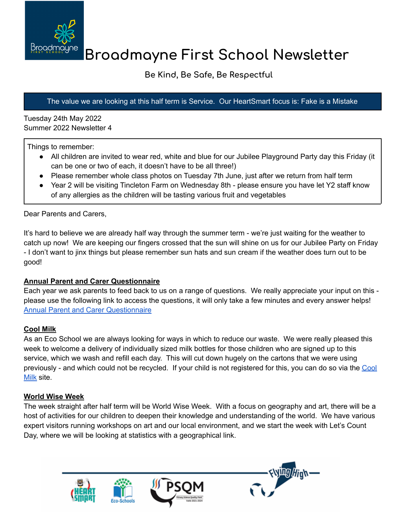

# **Broadmayne First School Newsletter**

# **Be Kind, Be Safe, Be Respectful**

#### The value we are looking at this half term is Service. Our HeartSmart focus is: Fake is a Mistake

Tuesday 24th May 2022 Summer 2022 Newsletter 4

Things to remember:

- All children are invited to wear red, white and blue for our Jubilee Playground Party day this Friday (it can be one or two of each, it doesn't have to be all three!)
- Please remember whole class photos on Tuesday 7th June, just after we return from half term
- Year 2 will be visiting Tincleton Farm on Wednesday 8th please ensure you have let Y2 staff know of any allergies as the children will be tasting various fruit and vegetables

Dear Parents and Carers,

It's hard to believe we are already half way through the summer term - we're just waiting for the weather to catch up now! We are keeping our fingers crossed that the sun will shine on us for our Jubilee Party on Friday - I don't want to jinx things but please remember sun hats and sun cream if the weather does turn out to be good!

#### **Annual Parent and Carer Questionnaire**

Each year we ask parents to feed back to us on a range of questions. We really appreciate your input on this please use the following link to access the questions, it will only take a few minutes and every answer helps! Annual Parent and Carer [Questionnaire](https://docs.google.com/forms/d/e/1FAIpQLSeCIuwAvGFWTcYgkfeyB9k5BdN-hbHirafEbTWyApwVDwOxOw/viewform?usp=sf_link)

## **Cool Milk**

As an Eco School we are always looking for ways in which to reduce our waste. We were really pleased this week to welcome a delivery of individually sized milk bottles for those children who are signed up to this service, which we wash and refill each day. This will cut down hugely on the cartons that we were using previously - and which could not be recycled. If your child is not registered for this, you can do so via the [Cool](https://www.coolmilk.com/) [Milk](https://www.coolmilk.com/) site.

## **World Wise Week**

The week straight after half term will be World Wise Week. With a focus on geography and art, there will be a host of activities for our children to deepen their knowledge and understanding of the world. We have various expert visitors running workshops on art and our local environment, and we start the week with Let's Count Day, where we will be looking at statistics with a geographical link.





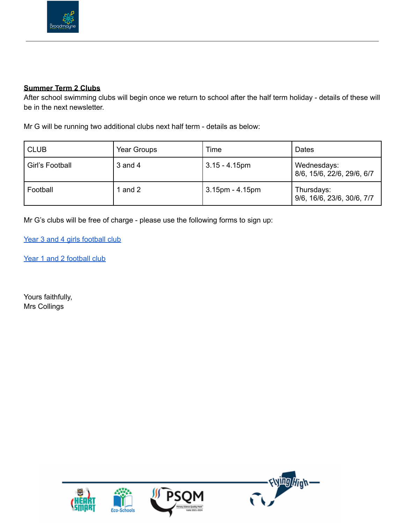

#### **Summer Term 2 Clubs**

After school swimming clubs will begin once we return to school after the half term holiday - details of these will be in the next newsletter.

Mr G will be running two additional clubs next half term - details as below:

| <b>CLUB</b>     | Year Groups | Time                  | Dates                                     |
|-----------------|-------------|-----------------------|-------------------------------------------|
| Girl's Football | $3$ and $4$ | $3.15 - 4.15$ pm      | Wednesdays:<br>8/6, 15/6, 22/6, 29/6, 6/7 |
| Football        | and 2       | $3.15$ pm - $4.15$ pm | Thursdays:<br>9/6, 16/6, 23/6, 30/6, 7/7  |

Mr G's clubs will be free of charge - please use the following forms to sign up:

Year 3 and 4 girls [football](https://docs.google.com/forms/d/e/1FAIpQLSendg7zEHi5BdfaGsYFT8b0W4NSt_agQk1zTIKIdylpVfz4-g/viewform?usp=sf_link) club

Year 1 and 2 [football](https://docs.google.com/forms/d/e/1FAIpQLSdQsCcPaDNWYYo9pLv_EeFuBZkJKn-1fWWowdOXD9MjPx0Ppg/viewform?usp=sf_link) club

Yours faithfully, Mrs Collings

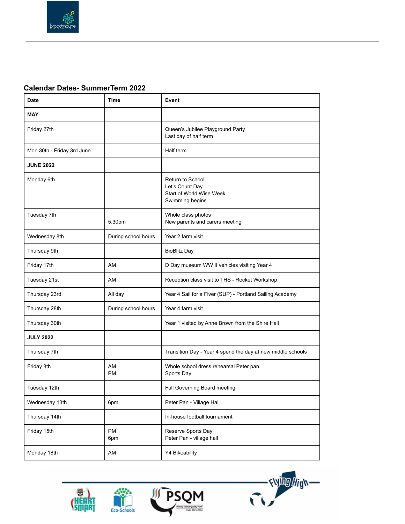

#### **Calendar Dates- SummerTerm 2022**

| Date                       | Time                | Event                                                                              |  |
|----------------------------|---------------------|------------------------------------------------------------------------------------|--|
| <b>MAY</b>                 |                     |                                                                                    |  |
| Friday 27th                |                     | Queen's Jubilee Playground Party<br>Last day of half term                          |  |
| Mon 30th - Friday 3rd June |                     | Half term                                                                          |  |
| <b>JUNE 2022</b>           |                     |                                                                                    |  |
| Monday 6th                 |                     | Return to School<br>Let's Count Day<br>Start of World Wise Week<br>Swimming begins |  |
| Tuesday 7th                | 5.30pm              | Whole class photos<br>New parents and carers meeting                               |  |
| Wednesday 8th              | During school hours | Year 2 farm visit                                                                  |  |
| Thursday 9th               |                     | <b>BioBlitz Day</b>                                                                |  |
| Friday 17th                | AM                  | D Day museum WW II vehicles visiting Year 4                                        |  |
| Tuesday 21st               | AM                  | Reception class visit to THS - Rocket Workshop                                     |  |
| Thursday 23rd              | All day             | Year 4 Sail for a Fiver (SUP) - Portland Sailing Academy                           |  |
| Thursday 28th              | During school hours | Year 4 farm visit                                                                  |  |
| Thursday 30th              |                     | Year 1 visited by Anne Brown from the Shire Hall                                   |  |
| <b>JULY 2022</b>           |                     |                                                                                    |  |
| Thursday 7th               |                     | Transition Day - Year 4 spend the day at new middle schools                        |  |
| Friday 8th                 | AM<br><b>PM</b>     | Whole school dress rehearsal Peter pan<br>Sports Day                               |  |
| Tuesday 12th               |                     | Full Governing Board meeting                                                       |  |
| Wednesday 13th             | 6pm                 | Peter Pan - Village Hall                                                           |  |
| Thursday 14th              |                     | In-house football tournament                                                       |  |
| Friday 15th                | PM<br>6pm           | Reserve Sports Day<br>Peter Pan - village hall                                     |  |
| Monday 18th                | AM                  | Y4 Bikeability                                                                     |  |